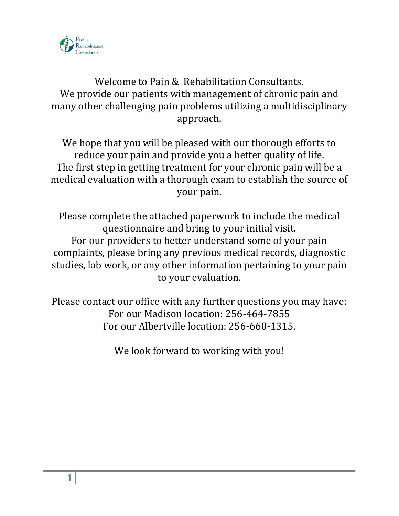

# Welcome to Pain & Rehabilitation Consultants. We provide our patients with management of chronic pain and many other challenging pain problems utilizing a multidisciplinary approach.

We hope that you will be pleased with our thorough efforts to reduce your pain and provide you a better quality of life. The first step in getting treatment for your chronic pain will be a medical evaluation with a thorough exam to establish the source of your pain.

Please complete the attached paperwork to include the medical questionnaire and bring to your initial visit. For our providers to better understand some of your pain complaints, please bring any previous medical records, diagnostic studies, lab work, or any other information pertaining to your pain to your evaluation.

Please contact our office with any further questions you may have: For our Madison location: 256-464-7855 For our Albertville location: 256-660-1315.

We look forward to working with you!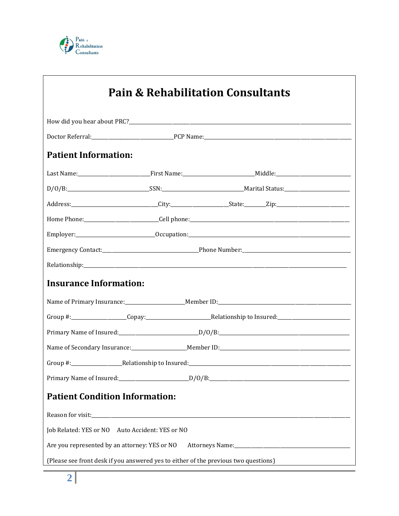

|                                                 |                                                                                     | <b>Pain &amp; Rehabilitation Consultants</b> |  |
|-------------------------------------------------|-------------------------------------------------------------------------------------|----------------------------------------------|--|
|                                                 |                                                                                     |                                              |  |
|                                                 |                                                                                     |                                              |  |
| <b>Patient Information:</b>                     |                                                                                     |                                              |  |
|                                                 |                                                                                     |                                              |  |
|                                                 |                                                                                     |                                              |  |
|                                                 |                                                                                     |                                              |  |
|                                                 |                                                                                     |                                              |  |
|                                                 |                                                                                     |                                              |  |
|                                                 |                                                                                     |                                              |  |
|                                                 |                                                                                     |                                              |  |
| <b>Insurance Information:</b>                   |                                                                                     |                                              |  |
|                                                 |                                                                                     |                                              |  |
|                                                 |                                                                                     |                                              |  |
|                                                 |                                                                                     |                                              |  |
|                                                 |                                                                                     |                                              |  |
|                                                 |                                                                                     |                                              |  |
|                                                 |                                                                                     |                                              |  |
| <b>Patient Condition Information:</b>           |                                                                                     |                                              |  |
|                                                 |                                                                                     |                                              |  |
| Job Related: YES or NO Auto Accident: YES or NO |                                                                                     |                                              |  |
| Are you represented by an attorney: YES or NO   |                                                                                     |                                              |  |
|                                                 | (Please see front desk if you answered yes to either of the previous two questions) |                                              |  |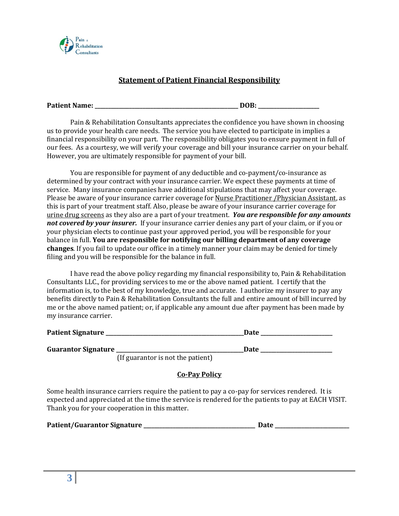

### **Statement of Patient Financial Responsibility**

**Patient Name: \_\_\_\_\_\_\_\_\_\_\_\_\_\_\_\_\_\_\_\_\_\_\_\_\_\_\_\_\_\_\_\_\_\_\_\_\_\_\_\_\_\_\_\_\_\_\_\_\_\_\_\_\_\_ DOB: \_\_\_\_\_\_\_\_\_\_\_\_\_\_\_\_\_\_\_\_\_\_\_**

Pain & Rehabilitation Consultants appreciates the confidence you have shown in choosing us to provide your health care needs. The service you have elected to participate in implies a financial responsibility on your part. The responsibility obligates you to ensure payment in full of our fees. As a courtesy, we will verify your coverage and bill your insurance carrier on your behalf. However, you are ultimately responsible for payment of your bill.

You are responsible for payment of any deductible and co-payment/co-insurance as determined by your contract with your insurance carrier. We expect these payments at time of service. Many insurance companies have additional stipulations that may affect your coverage. Please be aware of your insurance carrier coverage for Nurse Practitioner /Physician Assistant, as this is part of your treatment staff. Also, please be aware of your insurance carrier coverage for urine drug screens as they also are a part of your treatment. *You are responsible for any amounts not covered by your insurer.* If your insurance carrier denies any part of your claim, or if you or your physician elects to continue past your approved period, you will be responsible for your balance in full. **You are responsible for notifying our billing department of any coverage changes**. If you fail to update our office in a timely manner your claim may be denied for timely filing and you will be responsible for the balance in full.

I have read the above policy regarding my financial responsibility to, Pain & Rehabilitation Consultants LLC., for providing services to me or the above named patient. I certify that the information is, to the best of my knowledge, true and accurate. I authorize my insurer to pay any benefits directly to Pain & Rehabilitation Consultants the full and entire amount of bill incurred by me or the above named patient; or, if applicable any amount due after payment has been made by my insurance carrier.

| <b>Patient Signature</b>   | Date                                                                                                            |
|----------------------------|-----------------------------------------------------------------------------------------------------------------|
|                            |                                                                                                                 |
| <b>Guarantor Signature</b> | Date                                                                                                            |
| $\sim$                     | the contract of the contract of the contract of the contract of the contract of the contract of the contract of |

(If guarantor is not the patient)

**Co-Pay Policy**

Some health insurance carriers require the patient to pay a co-pay for services rendered. It is expected and appreciated at the time the service is rendered for the patients to pay at EACH VISIT. Thank you for your cooperation in this matter.

| Patient/Guarantor Signature<br>Date |  |
|-------------------------------------|--|
|-------------------------------------|--|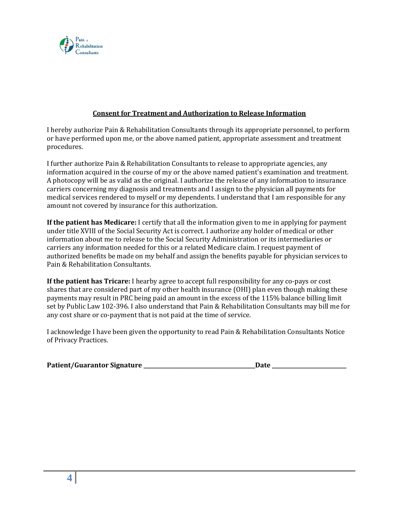

#### **Consent for Treatment and Authorization to Release Information**

I hereby authorize Pain & Rehabilitation Consultants through its appropriate personnel, to perform or have performed upon me, or the above named patient, appropriate assessment and treatment procedures.

I further authorize Pain & Rehabilitation Consultants to release to appropriate agencies, any information acquired in the course of my or the above named patient's examination and treatment. A photocopy will be as valid as the original. I authorize the release of any information to insurance carriers concerning my diagnosis and treatments and I assign to the physician all payments for medical services rendered to myself or my dependents. I understand that I am responsible for any amount not covered by insurance for this authorization.

**If the patient has Medicare:** I certify that all the information given to me in applying for payment under title XVIII of the Social Security Act is correct. I authorize any holder of medical or other information about me to release to the Social Security Administration or its intermediaries or carriers any information needed for this or a related Medicare claim. I request payment of authorized benefits be made on my behalf and assign the benefits payable for physician services to Pain & Rehabilitation Consultants.

**If the patient has Tricare:** I hearby agree to accept full responsibility for any co-pays or cost shares that are considered part of my other health insurance (OHI) plan even though making these payments may result in PRC being paid an amount in the excess of the 115% balance billing limit set by Public Law 102-396. I also understand that Pain & Rehabilitation Consultants may bill me for any cost share or co-payment that is not paid at the time of service.

I acknowledge I have been given the opportunity to read Pain & Rehabilitation Consultants Notice of Privacy Practices.

| Patient/Guarantor Signature | Date |  |
|-----------------------------|------|--|
|                             |      |  |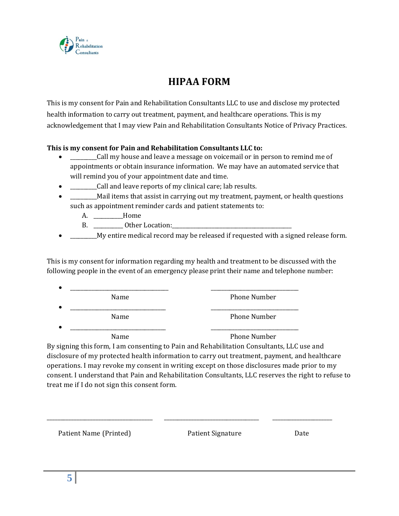

# **HIPAA FORM**

This is my consent for Pain and Rehabilitation Consultants LLC to use and disclose my protected health information to carry out treatment, payment, and healthcare operations. This is my acknowledgement that I may view Pain and Rehabilitation Consultants Notice of Privacy Practices.

#### **This is my consent for Pain and Rehabilitation Consultants LLC to:**

- \_\_\_\_\_\_\_\_\_\_Call my house and leave a message on voicemail or in person to remind me of appointments or obtain insurance information. We may have an automated service that will remind you of your appointment date and time.
- \_\_\_\_\_\_\_\_\_\_Call and leave reports of my clinical care; lab results.
- \_\_\_\_\_\_\_\_\_\_Mail items that assist in carrying out my treatment, payment, or health questions such as appointment reminder cards and patient statements to:
	- A. \_\_\_\_\_\_\_\_\_\_\_ Home
	- B. Dther Location:
- My entire medical record may be released if requested with a signed release form.

This is my consent for information regarding my health and treatment to be discussed with the following people in the event of an emergency please print their name and telephone number:

| $\bullet$ |      |                     |
|-----------|------|---------------------|
|           | Name | <b>Phone Number</b> |
| $\bullet$ |      |                     |
|           | Name | <b>Phone Number</b> |
| $\bullet$ |      |                     |
|           | Name | <b>Phone Number</b> |

By signing this form, I am consenting to Pain and Rehabilitation Consultants, LLC use and disclosure of my protected health information to carry out treatment, payment, and healthcare operations. I may revoke my consent in writing except on those disclosures made prior to my consent. I understand that Pain and Rehabilitation Consultants, LLC reserves the right to refuse to treat me if I do not sign this consent form.

\_\_\_\_\_\_\_\_\_\_\_\_\_\_\_\_\_\_\_\_\_\_\_\_\_\_\_\_\_\_\_\_\_\_\_\_\_\_\_ \_\_\_\_\_\_\_\_\_\_\_\_\_\_\_\_\_\_\_\_\_\_\_\_\_\_\_\_\_\_\_\_\_\_\_ \_\_\_\_\_\_\_\_\_\_\_\_\_\_\_\_\_\_\_\_\_\_

Patient Name (Printed) **Patient Signature** Date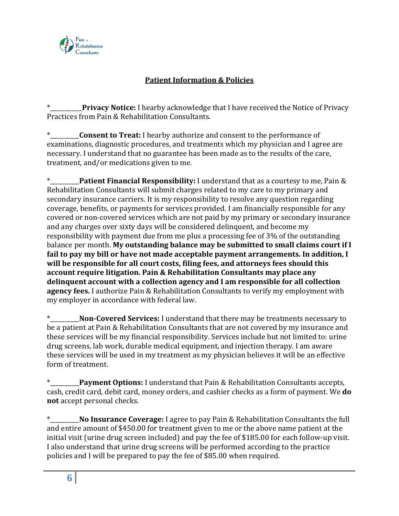

## **Patient Information & Policies**

**Privacy Notice:** I hearby acknowledge that I have received the Notice of Privacy Practices from Pain & Rehabilitation Consultants.

**Consent to Treat:** I hearby authorize and consent to the performance of examinations, diagnostic procedures, and treatments which my physician and I agree are necessary. I understand that no guarantee has been made as to the results of the care, treatment, and/or medications given to me.

**Patient Financial Responsibility: I understand that as a courtesy to me, Pain &** Rehabilitation Consultants will submit charges related to my care to my primary and secondary insurance carriers. It is my responsibility to resolve any question regarding coverage, benefits, or payments for services provided. I am financially responsible for any covered or non-covered services which are not paid by my primary or secondary insurance and any charges over sixty days will be considered delinquent, and become my responsibility with payment due from me plus a processing fee of 3% of the outstanding balance per month. **My outstanding balance may be submitted to small claims court if I fail to pay my bill or have not made acceptable payment arrangements. In addition, I will be responsible for all court costs, filing fees, and attorneys fees should this account require litigation. Pain & Rehabilitation Consultants may place any delinquent account with a collection agency and I am responsible for all collection agency fees.** I authorize Pain & Rehabilitation Consultants to verify my employment with my employer in accordance with federal law.

Non-Covered Services: I understand that there may be treatments necessary to be a patient at Pain & Rehabilitation Consultants that are not covered by my insurance and these services will be my financial responsibility. Services include but not limited to: urine drug screens, lab work, durable medical equipment, and injection therapy. I am aware these services will be used in my treatment as my physician believes it will be an effective form of treatment.

**Payment Options:** I understand that Pain & Rehabilitation Consultants accepts, cash, credit card, debit card, money orders, and cashier checks as a form of payment. We **do not** accept personal checks.

\*\_\_\_\_\_\_\_\_\_\_**No Insurance Coverage:** I agree to pay Pain & Rehabilitation Consultants the full and entire amount of \$450.00 for treatment given to me or the above name patient at the initial visit (urine drug screen included) and pay the fee of \$185.00 for each follow-up visit. I also understand that urine drug screens will be performed according to the practice policies and I will be prepared to pay the fee of \$85.00 when required.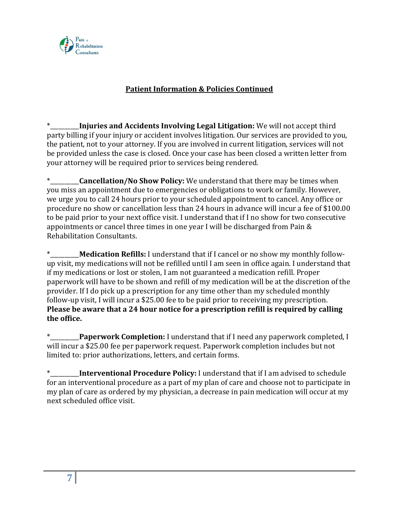

### **Patient Information & Policies Continued**

**Injuries and Accidents Involving Legal Litigation:** We will not accept third party billing if your injury or accident involves litigation. Our services are provided to you, the patient, not to your attorney. If you are involved in current litigation, services will not be provided unless the case is closed. Once your case has been closed a written letter from your attorney will be required prior to services being rendered.

**Cancellation/No Show Policy:** We understand that there may be times when you miss an appointment due to emergencies or obligations to work or family. However, we urge you to call 24 hours prior to your scheduled appointment to cancel. Any office or procedure no show or cancellation less than 24 hours in advance will incur a fee of \$100.00 to be paid prior to your next office visit. I understand that if I no show for two consecutive appointments or cancel three times in one year I will be discharged from Pain & Rehabilitation Consultants.

**Medication Refills:** I understand that if I cancel or no show my monthly followup visit, my medications will not be refilled until I am seen in office again. I understand that if my medications or lost or stolen, I am not guaranteed a medication refill. Proper paperwork will have to be shown and refill of my medication will be at the discretion of the provider. If I do pick up a prescription for any time other than my scheduled monthly follow-up visit, I will incur a \$25.00 fee to be paid prior to receiving my prescription. **Please be aware that a 24 hour notice for a prescription refill is required by calling the office.**

\*\_\_\_\_\_\_\_\_\_\_**Paperwork Completion:** I understand that if I need any paperwork completed, I will incur a \$25.00 fee per paperwork request. Paperwork completion includes but not limited to: prior authorizations, letters, and certain forms.

\*\_\_\_\_\_\_\_\_\_\_**Interventional Procedure Policy:** I understand that if I am advised to schedule for an interventional procedure as a part of my plan of care and choose not to participate in my plan of care as ordered by my physician, a decrease in pain medication will occur at my next scheduled office visit.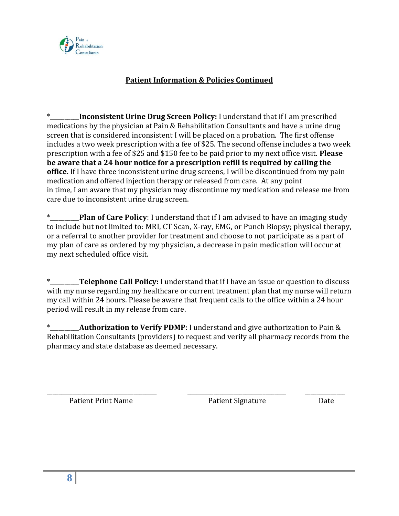

## **Patient Information & Policies Continued**

**\_\_\_\_\_Inconsistent Urine Drug Screen Policy:** I understand that if I am prescribed medications by the physician at Pain & Rehabilitation Consultants and have a urine drug screen that is considered inconsistent I will be placed on a probation. The first offense includes a two week prescription with a fee of \$25. The second offense includes a two week prescription with a fee of \$25 and \$150 fee to be paid prior to my next office visit. **Please be aware that a 24 hour notice for a prescription refill is required by calling the office.** If I have three inconsistent urine drug screens, I will be discontinued from my pain medication and offered injection therapy or released from care. At any point in time, I am aware that my physician may discontinue my medication and release me from care due to inconsistent urine drug screen.

**Plan of Care Policy**: I understand that if I am advised to have an imaging study to include but not limited to: MRI, CT Scan, X-ray, EMG, or Punch Biopsy; physical therapy, or a referral to another provider for treatment and choose to not participate as a part of my plan of care as ordered by my physician, a decrease in pain medication will occur at my next scheduled office visit.

\*\_\_\_\_\_\_\_\_\_\_**Telephone Call Policy:** I understand that if I have an issue or question to discuss with my nurse regarding my healthcare or current treatment plan that my nurse will return my call within 24 hours. Please be aware that frequent calls to the office within a 24 hour period will result in my release from care.

**Authorization to Verify PDMP**: I understand and give authorization to Pain & Rehabilitation Consultants (providers) to request and verify all pharmacy records from the pharmacy and state database as deemed necessary.

\_\_\_\_\_\_\_\_\_\_\_\_\_\_\_\_\_\_\_\_\_\_\_\_\_\_\_\_\_\_\_\_\_\_\_\_\_\_ \_\_\_\_\_\_\_\_\_\_\_\_\_\_\_\_\_\_\_\_\_\_\_\_\_\_\_\_\_\_\_\_\_\_ \_\_\_\_\_\_\_\_\_\_\_\_\_\_

Patient Print Name **Patient Signature** Date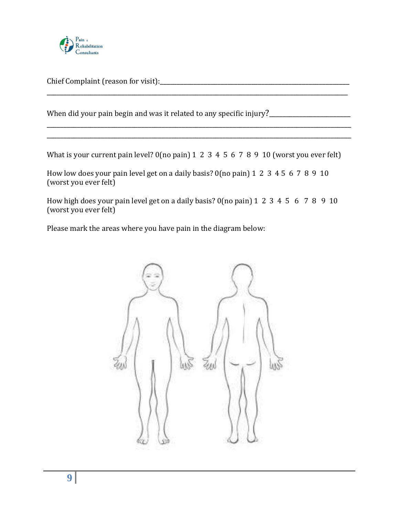

Chief Complaint (reason for visit):\_\_\_\_\_\_\_\_\_\_\_\_\_\_\_\_\_\_\_\_\_\_\_\_\_\_\_\_\_\_\_\_\_\_\_\_\_\_\_\_\_\_\_\_\_\_\_\_\_\_\_\_\_\_\_\_

When did your pain begin and was it related to any specific injury?

What is your current pain level? 0(no pain) 1 2 3 4 5 6 7 8 9 10 (worst you ever felt)

\_\_\_\_\_\_\_\_\_\_\_\_\_\_\_\_\_\_\_\_\_\_\_\_\_\_\_\_\_\_\_\_\_\_\_\_\_\_\_\_\_\_\_\_\_\_\_\_\_\_\_\_\_\_\_\_\_\_\_\_\_\_\_\_\_\_\_\_\_\_\_\_\_\_\_\_\_\_\_\_\_\_\_\_\_\_\_\_\_

\_\_\_\_\_\_\_\_\_\_\_\_\_\_\_\_\_\_\_\_\_\_\_\_\_\_\_\_\_\_\_\_\_\_\_\_\_\_\_\_\_\_\_\_\_\_\_\_\_\_\_\_\_\_\_\_\_\_\_\_\_\_\_\_\_\_\_\_\_\_\_\_\_\_\_\_\_\_\_\_\_\_\_\_\_\_\_\_\_\_ \_\_\_\_\_\_\_\_\_\_\_\_\_\_\_\_\_\_\_\_\_\_\_\_\_\_\_\_\_\_\_\_\_\_\_\_\_\_\_\_\_\_\_\_\_\_\_\_\_\_\_\_\_\_\_\_\_\_\_\_\_\_\_\_\_\_\_\_\_\_\_\_\_\_\_\_\_\_\_\_\_\_\_\_\_\_\_\_\_\_

How low does your pain level get on a daily basis? 0(no pain) 1 2 3 4 5 6 7 8 9 10 (worst you ever felt)

How high does your pain level get on a daily basis? 0(no pain) 1 2 3 4 5 6 7 8 9 10 (worst you ever felt)

Please mark the areas where you have pain in the diagram below:

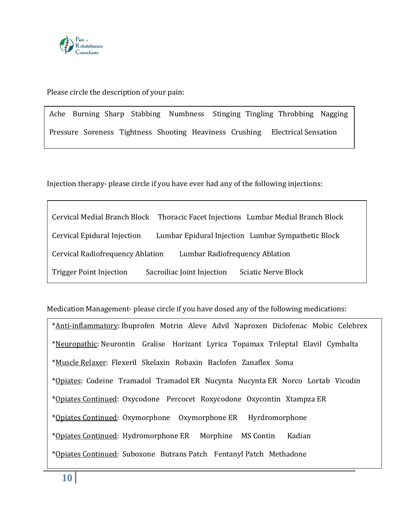

Please circle the description of your pain:

Ache Burning Sharp Stabbing Numbness Stinging Tingling Throbbing Nagging Pressure Soreness Tightness Shooting Heaviness Crushing Electrical Sensation

Injection therapy- please circle if you have ever had any of the following injections:

|                                                                    |                            | Cervical Medial Branch Block Thoracic Facet Injections Lumbar Medial Branch Block |  |  |
|--------------------------------------------------------------------|----------------------------|-----------------------------------------------------------------------------------|--|--|
| Cervical Epidural Injection                                        |                            | Lumbar Epidural Injection Lumbar Sympathetic Block                                |  |  |
| Cervical Radiofrequency Ablation<br>Lumbar Radiofrequency Ablation |                            |                                                                                   |  |  |
| <b>Trigger Point Injection</b>                                     | Sacroiliac Joint Injection | <b>Sciatic Nerve Block</b>                                                        |  |  |

Medication Management- please circle if you have dosed any of the following medications:

\*Anti-inflammatory: Ibuprofen Motrin Aleve Advil Naproxen Diclofenac Mobic Celebrex \*Neuropathic: Neurontin Gralise Horizant Lyrica Topamax Trileptal Elavil Cymbalta \*Muscle Relaxer: Flexeril Skelaxin Robaxin Baclofen Zanaflex Soma \*Opiates: Codeine Tramadol Tramadol ER Nucynta Nucynta ER Norco Lortab Vicodin \*Opiates Continued: Oxycodone Percocet Roxycodone Oxycontin Xtampza ER \*Opiates Continued: Oxymorphone Oxymorphone ER Hyrdromorphone \*Opiates Continued: Hydromorphone ER Morphine MS Contin Kadian \*Opiates Continued: Suboxone Butrans Patch Fentanyl Patch Methadone